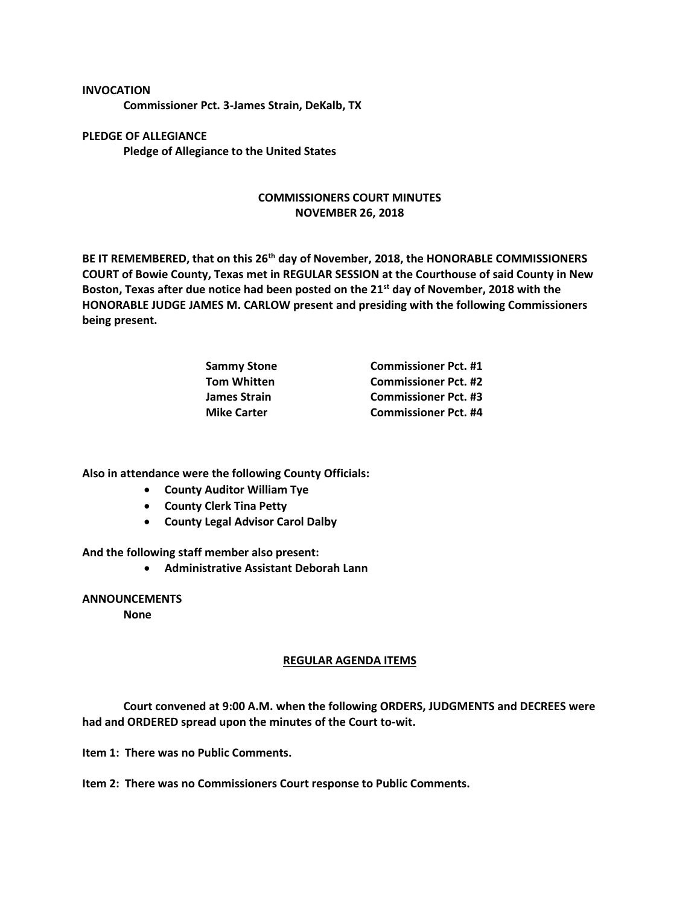## **INVOCATION**

**Commissioner Pct. 3-James Strain, DeKalb, TX**

**PLEDGE OF ALLEGIANCE Pledge of Allegiance to the United States**

## **COMMISSIONERS COURT MINUTES NOVEMBER 26, 2018**

**BE IT REMEMBERED, that on this 26th day of November, 2018, the HONORABLE COMMISSIONERS COURT of Bowie County, Texas met in REGULAR SESSION at the Courthouse of said County in New Boston, Texas after due notice had been posted on the 21st day of November, 2018 with the HONORABLE JUDGE JAMES M. CARLOW present and presiding with the following Commissioners being present.**

| <b>Commissioner Pct. #1</b> |
|-----------------------------|
| <b>Commissioner Pct. #2</b> |
| <b>Commissioner Pct. #3</b> |
| <b>Commissioner Pct. #4</b> |
|                             |

**Also in attendance were the following County Officials:**

- **County Auditor William Tye**
- **County Clerk Tina Petty**
- **County Legal Advisor Carol Dalby**

**And the following staff member also present:**

• **Administrative Assistant Deborah Lann**

## **ANNOUNCEMENTS**

**None**

## **REGULAR AGENDA ITEMS**

**Court convened at 9:00 A.M. when the following ORDERS, JUDGMENTS and DECREES were had and ORDERED spread upon the minutes of the Court to-wit.**

**Item 1: There was no Public Comments.**

**Item 2: There was no Commissioners Court response to Public Comments.**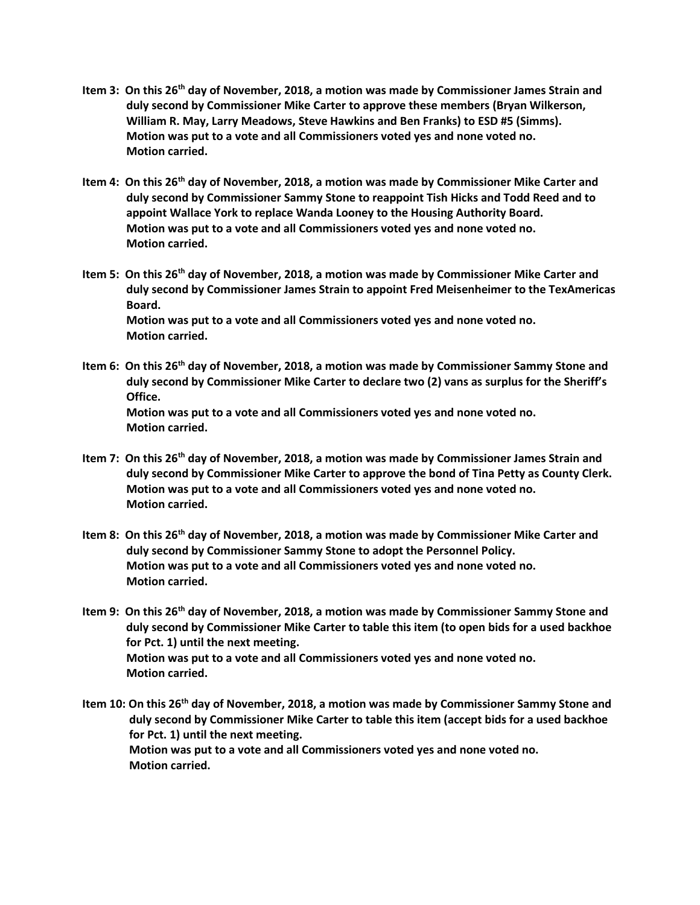- **Item 3: On this 26th day of November, 2018, a motion was made by Commissioner James Strain and duly second by Commissioner Mike Carter to approve these members (Bryan Wilkerson, William R. May, Larry Meadows, Steve Hawkins and Ben Franks) to ESD #5 (Simms). Motion was put to a vote and all Commissioners voted yes and none voted no. Motion carried.**
- **Item 4: On this 26th day of November, 2018, a motion was made by Commissioner Mike Carter and duly second by Commissioner Sammy Stone to reappoint Tish Hicks and Todd Reed and to appoint Wallace York to replace Wanda Looney to the Housing Authority Board. Motion was put to a vote and all Commissioners voted yes and none voted no. Motion carried.**
- **Item 5: On this 26th day of November, 2018, a motion was made by Commissioner Mike Carter and duly second by Commissioner James Strain to appoint Fred Meisenheimer to the TexAmericas Board. Motion was put to a vote and all Commissioners voted yes and none voted no. Motion carried.**
- **Item 6: On this 26th day of November, 2018, a motion was made by Commissioner Sammy Stone and duly second by Commissioner Mike Carter to declare two (2) vans as surplus for the Sheriff's Office. Motion was put to a vote and all Commissioners voted yes and none voted no. Motion carried.**
- **Item 7: On this 26th day of November, 2018, a motion was made by Commissioner James Strain and duly second by Commissioner Mike Carter to approve the bond of Tina Petty as County Clerk. Motion was put to a vote and all Commissioners voted yes and none voted no. Motion carried.**
- **Item 8: On this 26th day of November, 2018, a motion was made by Commissioner Mike Carter and duly second by Commissioner Sammy Stone to adopt the Personnel Policy. Motion was put to a vote and all Commissioners voted yes and none voted no. Motion carried.**
- **Item 9: On this 26th day of November, 2018, a motion was made by Commissioner Sammy Stone and duly second by Commissioner Mike Carter to table this item (to open bids for a used backhoe for Pct. 1) until the next meeting. Motion was put to a vote and all Commissioners voted yes and none voted no. Motion carried.**
- **Item 10: On this 26th day of November, 2018, a motion was made by Commissioner Sammy Stone and duly second by Commissioner Mike Carter to table this item (accept bids for a used backhoe for Pct. 1) until the next meeting. Motion was put to a vote and all Commissioners voted yes and none voted no. Motion carried.**